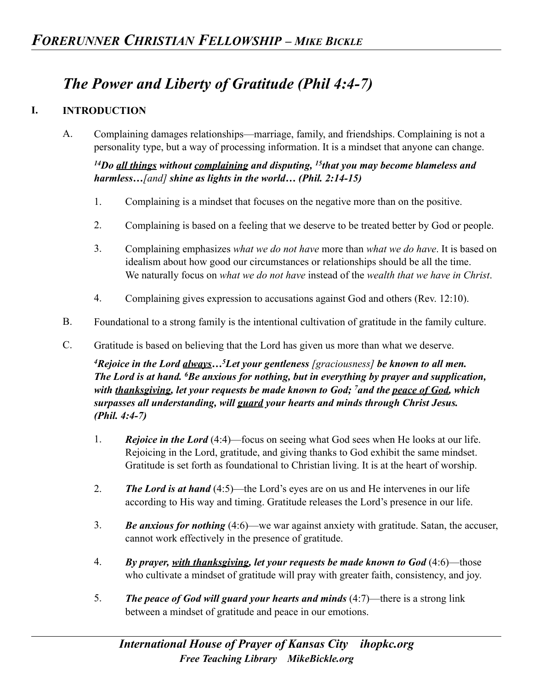## *The Power and Liberty of Gratitude (Phil 4:4-7)*

## **I. INTRODUCTION**

A. Complaining damages relationships—marriage, family, and friendships. Complaining is not a personality type, but a way of processing information. It is a mindset that anyone can change.

*14Do all things without complaining and disputing, 15that you may become blameless and harmless…[and] shine as lights in the world… (Phil. 2:14-15)* 

- 1. Complaining is a mindset that focuses on the negative more than on the positive.
- 2. Complaining is based on a feeling that we deserve to be treated better by God or people.
- 3. Complaining emphasizes *what we do not have* more than *what we do have*. It is based on idealism about how good our circumstances or relationships should be all the time. We naturally focus on *what we do not have* instead of the *wealth that we have in Christ*.
- 4. Complaining gives expression to accusations against God and others (Rev. 12:10).
- B. Foundational to a strong family is the intentional cultivation of gratitude in the family culture.
- C. Gratitude is based on believing that the Lord has given us more than what we deserve.

*4Rejoice in the Lord always…5Let your gentleness [graciousness] be known to all men. The Lord is at hand. 6Be anxious for nothing, but in everything by prayer and supplication, with thanksgiving, let your requests be made known to God; 7and the peace of God, which surpasses all understanding, will guard your hearts and minds through Christ Jesus. (Phil. 4:4-7)* 

- 1. *Rejoice in the Lord* (4:4)—focus on seeing what God sees when He looks at our life. Rejoicing in the Lord, gratitude, and giving thanks to God exhibit the same mindset. Gratitude is set forth as foundational to Christian living. It is at the heart of worship.
- 2. *The Lord is at hand* (4:5)—the Lord's eyes are on us and He intervenes in our life according to His way and timing. Gratitude releases the Lord's presence in our life.
- 3. *Be anxious for nothing* (4:6)—we war against anxiety with gratitude. Satan, the accuser, cannot work effectively in the presence of gratitude.
- 4. *By prayer, with thanksgiving, let your requests be made known to God* (4:6)—those who cultivate a mindset of gratitude will pray with greater faith, consistency, and joy.
- 5. *The peace of God will guard your hearts and minds* (4:7)—there is a strong link between a mindset of gratitude and peace in our emotions.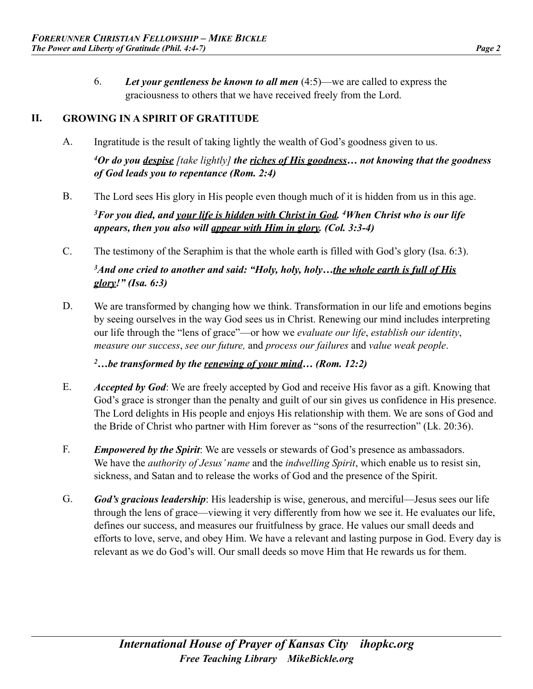6. *Let your gentleness be known to all men* (4:5)—we are called to express the graciousness to others that we have received freely from the Lord.

## **II. GROWING IN A SPIRIT OF GRATITUDE**

- A. Ingratitude is the result of taking lightly the wealth of God's goodness given to us. *4Or do you despise [take lightly] the riches of His goodness… not knowing that the goodness of God leads you to repentance (Rom. 2:4)*
- B. The Lord sees His glory in His people even though much of it is hidden from us in this age. *3For you died, and your life is hidden with Christ in God. 4When Christ who is our life appears, then you also will appear with Him in glory. (Col. 3:3-4)*
- C. The testimony of the Seraphim is that the whole earth is filled with God's glory (Isa. 6:3).

*3And one cried to another and said: "Holy, holy, holy…the whole earth is full of His glory!" (Isa. 6:3)* 

D. We are transformed by changing how we think. Transformation in our life and emotions begins by seeing ourselves in the way God sees us in Christ. Renewing our mind includes interpreting our life through the "lens of grace"—or how we *evaluate our life*, *establish our identity*, *measure our success*, *see our future,* and *process our failures* and *value weak people*.

*2…be transformed by the renewing of your mind… (Rom. 12:2)* 

- E. *Accepted by God*: We are freely accepted by God and receive His favor as a gift. Knowing that God's grace is stronger than the penalty and guilt of our sin gives us confidence in His presence. The Lord delights in His people and enjoys His relationship with them. We are sons of God and the Bride of Christ who partner with Him forever as "sons of the resurrection" (Lk. 20:36).
- F. *Empowered by the Spirit*: We are vessels or stewards of God's presence as ambassadors. We have the *authority of Jesus' name* and the *indwelling Spirit*, which enable us to resist sin, sickness, and Satan and to release the works of God and the presence of the Spirit.
- G. *God's gracious leadership*: His leadership is wise, generous, and merciful—Jesus sees our life through the lens of grace—viewing it very differently from how we see it. He evaluates our life, defines our success, and measures our fruitfulness by grace. He values our small deeds and efforts to love, serve, and obey Him. We have a relevant and lasting purpose in God. Every day is relevant as we do God's will. Our small deeds so move Him that He rewards us for them.